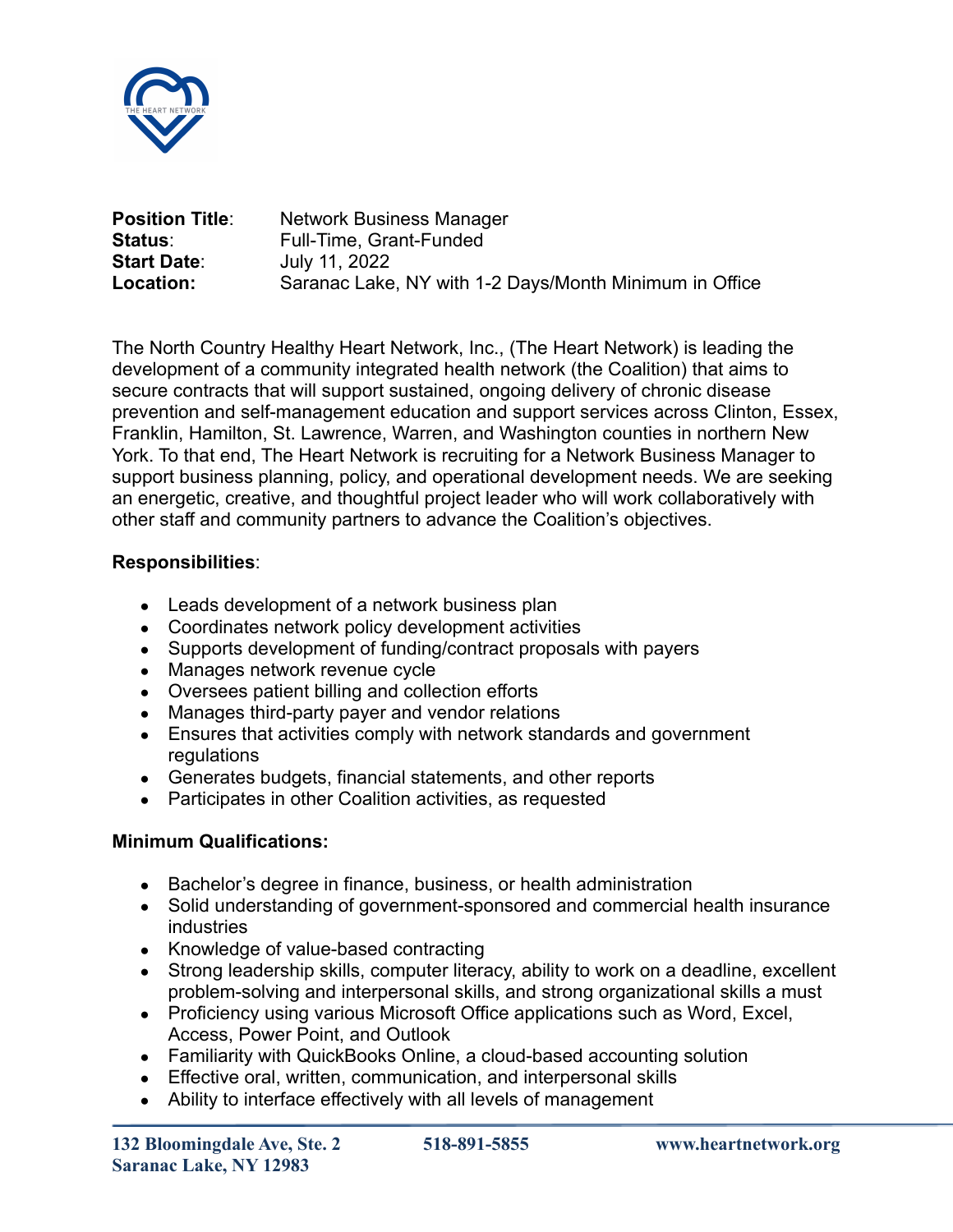

| <b>Position Title:</b> | Network Business Manager                               |
|------------------------|--------------------------------------------------------|
| Status:                | Full-Time, Grant-Funded                                |
| <b>Start Date:</b>     | July 11, 2022                                          |
| Location:              | Saranac Lake, NY with 1-2 Days/Month Minimum in Office |

The North Country Healthy Heart Network, Inc., (The Heart Network) is leading the development of a community integrated health network (the Coalition) that aims to secure contracts that will support sustained, ongoing delivery of chronic disease prevention and self-management education and support services across Clinton, Essex, Franklin, Hamilton, St. Lawrence, Warren, and Washington counties in northern New York. To that end, The Heart Network is recruiting for a Network Business Manager to support business planning, policy, and operational development needs. We are seeking an energetic, creative, and thoughtful project leader who will work collaboratively with other staff and community partners to advance the Coalition's objectives.

## **Responsibilities**:

- Leads development of a network business plan
- Coordinates network policy development activities
- Supports development of funding/contract proposals with payers
- Manages network revenue cycle
- Oversees patient billing and collection efforts
- Manages third-party payer and vendor relations
- Ensures that activities comply with network standards and government regulations
- Generates budgets, financial statements, and other reports
- Participates in other Coalition activities, as requested

## **Minimum Qualifications:**

- Bachelor's degree in finance, business, or health administration
- Solid understanding of government-sponsored and commercial health insurance industries
- Knowledge of value-based contracting
- Strong leadership skills, computer literacy, ability to work on a deadline, excellent problem-solving and interpersonal skills, and strong organizational skills a must
- Proficiency using various Microsoft Office applications such as Word, Excel, Access, Power Point, and Outlook
- Familiarity with QuickBooks Online, a cloud-based accounting solution
- Effective oral, written, communication, and interpersonal skills
- Ability to interface effectively with all levels of management